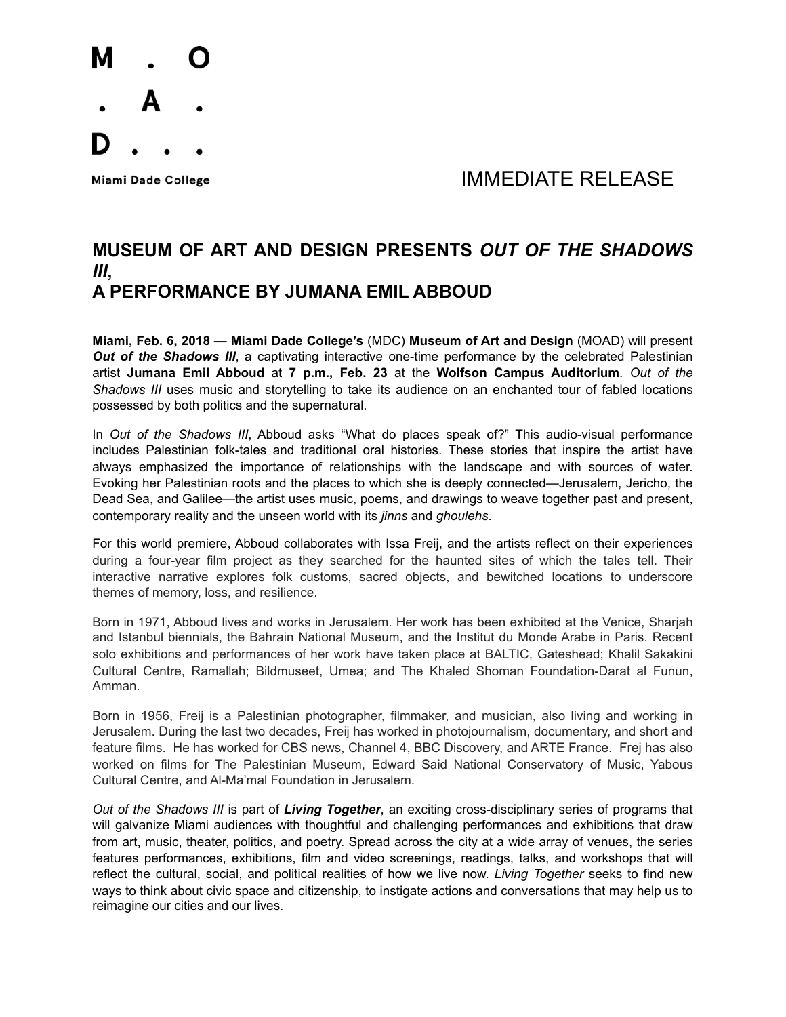

## Miami Dade College **All Accords** College and The Manual MINIF DIATE RELEASE

## **MUSEUM OF ART AND DESIGN PRESENTS** *OUT OF THE SHADOWS III***, A PERFORMANCE BY JUMANA EMIL ABBOUD**

**Miami, Feb. 6, 2018 — Miami Dade College's** (MDC) **Museum of Art and Design** (MOAD) will present **Out of the Shadows III**, a captivating interactive one-time performance by the celebrated Palestinian artist **Jumana Emil Abboud** at **7 p.m., Feb. 23** at the **Wolfson Campus Auditorium**. *Out of the Shadows III* uses music and storytelling to take its audience on an enchanted tour of fabled locations possessed by both politics and the supernatural.

In *Out of the Shadows III*, Abboud asks "What do places speak of?" This audio-visual performance includes Palestinian folk-tales and traditional oral histories. These stories that inspire the artist have always emphasized the importance of relationships with the landscape and with sources of water. Evoking her Palestinian roots and the places to which she is deeply connected—Jerusalem, Jericho, the Dead Sea, and Galilee—the artist uses music, poems, and drawings to weave together past and present, contemporary reality and the unseen world with its *jinns* and *ghoulehs*.

For this world premiere, Abboud collaborates with Issa Freij, and the artists reflect on their experiences during a four-year film project as they searched for the haunted sites of which the tales tell. Their interactive narrative explores folk customs, sacred objects, and bewitched locations to underscore themes of memory, loss, and resilience.

Born in 1971, Abboud lives and works in Jerusalem. Her work has been exhibited at the Venice, Sharjah and Istanbul biennials, the Bahrain National Museum, and the Institut du Monde Arabe in Paris. Recent solo exhibitions and performances of her work have taken place at BALTIC, Gateshead; Khalil Sakakini Cultural Centre, Ramallah; Bildmuseet, Umea; and The Khaled Shoman Foundation-Darat al Funun, Amman.

Born in 1956, Freij is a Palestinian photographer, filmmaker, and musician, also living and working in Jerusalem. During the last two decades, Freij has worked in photojournalism, documentary, and short and feature films. He has worked for CBS news, Channel 4, BBC Discovery, and ARTE France. Frej has also worked on films for The Palestinian Museum, Edward Said National Conservatory of Music, Yabous Cultural Centre, and Al-Ma'mal Foundation in Jerusalem.

*Out of the Shadows III* is part of *Living Together*, an exciting cross-disciplinary series of programs that will galvanize Miami audiences with thoughtful and challenging performances and exhibitions that draw from art, music, theater, politics, and poetry. Spread across the city at a wide array of venues, the series features performances, exhibitions, film and video screenings, readings, talks, and workshops that will reflect the cultural, social, and political realities of how we live now. *Living Together* seeks to find new ways to think about civic space and citizenship, to instigate actions and conversations that may help us to reimagine our cities and our lives.